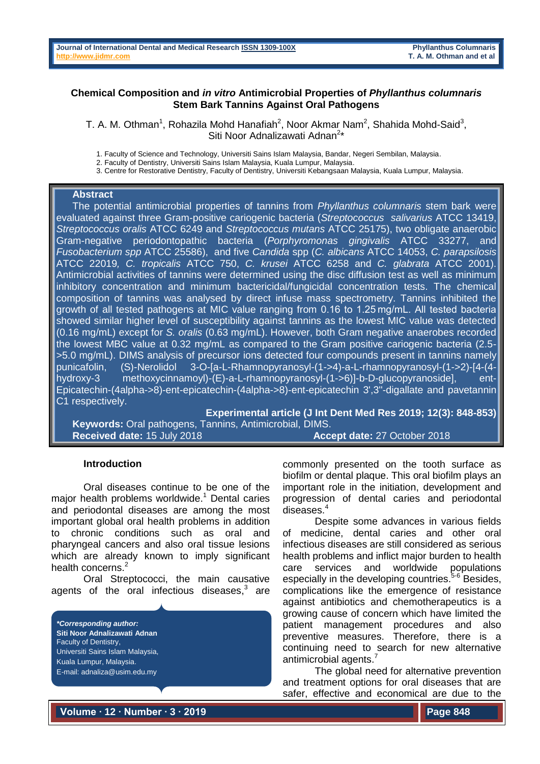### **Chemical Composition and** *in vitro* **Antimicrobial Properties of** *Phyllanthus columnaris* **Stem Bark Tannins Against Oral Pathogens**

T. A. M. Othman<sup>1</sup>, Rohazila Mohd Hanafiah<sup>2</sup>, Noor Akmar Nam<sup>2</sup>, Shahida Mohd-Said<sup>3</sup>, Siti Noor Adnalizawati Adnan<sup>2\*</sup>

1. Faculty of Science and Technology, Universiti Sains Islam Malaysia, Bandar, Negeri Sembilan, Malaysia.

2. Faculty of Dentistry, Universiti Sains Islam Malaysia, Kuala Lumpur, Malaysia.

3. Centre for Restorative Dentistry, Faculty of Dentistry, Universiti Kebangsaan Malaysia, Kuala Lumpur, Malaysia.

### **Abstract**

The potential antimicrobial properties of tannins from *Phyllanthus columnaris* stem bark were evaluated against three Gram-positive cariogenic bacteria (*Streptococcus salivarius* ATCC 13419, *Streptococcus oralis* ATCC 6249 and *Streptococcus mutans* ATCC 25175), two obligate anaerobic Gram-negative periodontopathic bacteria (*Porphyromonas gingivalis* ATCC 33277, and *Fusobacterium spp* ATCC 25586), and five *Candida* spp (*C. albicans* ATCC 14053, *C. parapsilosis* ATCC 22019*, C. tropicalis* ATCC 750, *C. krusei* ATCC 6258 and *C. glabrata* ATCC 2001). Antimicrobial activities of tannins were determined using the disc diffusion test as well as minimum inhibitory concentration and minimum bactericidal/fungicidal concentration tests. The chemical composition of tannins was analysed by direct infuse mass spectrometry. Tannins inhibited the growth of all tested pathogens at MIC value ranging from 0.16 to 1.25 mg/mL. All tested bacteria showed similar higher level of susceptibility against tannins as the lowest MIC value was detected (0.16 mg/mL) except for *S. oralis* (0.63 mg/mL). However, both Gram negative anaerobes recorded the lowest MBC value at 0.32 mg/mL as compared to the Gram positive cariogenic bacteria (2.5- >5.0 mg/mL). DIMS analysis of precursor ions detected four compounds present in tannins namely punicafolin, (S)-Nerolidol 3-O-[a-L-Rhamnopyranosyl-(1->4)-a-L-rhamnopyranosyl-(1->2)-[4-(4 hydroxy-3 methoxycinnamoyl)-(E)-a-L-rhamnopyranosyl-(1->6)]-b-D-glucopyranoside], ent-Epicatechin-(4alpha->8)-ent-epicatechin-(4alpha->8)-ent-epicatechin 3',3''-digallate and pavetannin C1 respectively.

**Experimental article (J Int Dent Med Res 2019; 12(3): 848-853) Keywords:** Oral pathogens, Tannins, Antimicrobial, DIMS. **Received date:** 15 July 2018 **Accept date:** 27 October 2018

### **Introduction**

Oral diseases continue to be one of the major health problems worldwide. <sup>1</sup> Dental caries and periodontal diseases are among the most important global oral health problems in addition to chronic conditions such as oral and pharyngeal cancers and also oral tissue lesions which are already known to imply significant health concerns.<sup>2</sup>

Oral Streptococci, the main causative agents of the oral infectious diseases, $3$  are

*\*Corresponding author:* **Siti Noor Adnalizawati Adnan** Faculty of Dentistry, Universiti Sains Islam Malaysia, Kuala Lumpur, Malaysia. E-mail: adnaliza@usim.edu.my

commonly presented on the tooth surface as biofilm or dental plaque. This oral biofilm plays an important role in the initiation, development and progression of dental caries and periodontal diseases. 4

Despite some advances in various fields of medicine, dental caries and other oral infectious diseases are still considered as serious health problems and inflict major burden to health care services and worldwide populations especially in the developing countries.<sup>5-6</sup> Besides, complications like the emergence of resistance against antibiotics and chemotherapeutics is a growing cause of concern which have limited the patient management procedures and also preventive measures. Therefore, there is a continuing need to search for new alternative antimicrobial agents.<sup>7</sup>

The global need for alternative prevention and treatment options for oral diseases that are safer, effective and economical are due to the

**Volume ∙ 12 ∙ Number ∙ 3 ∙ 2019**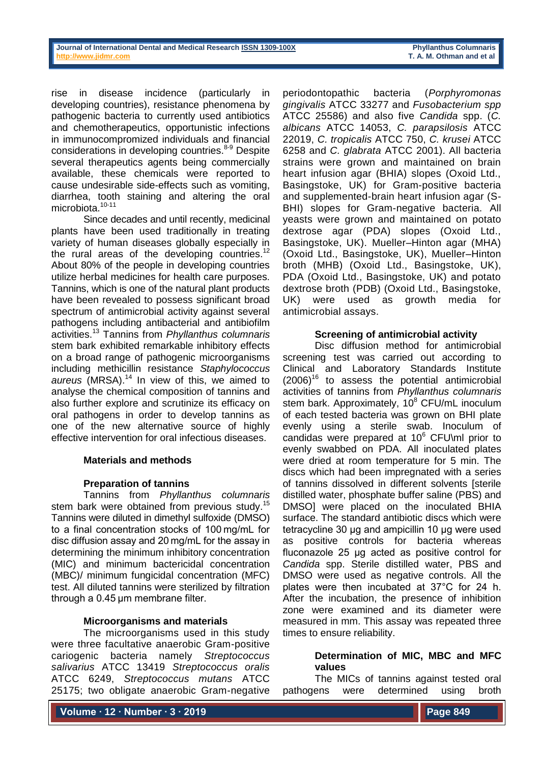rise in disease incidence (particularly in developing countries), resistance phenomena by pathogenic bacteria to currently used antibiotics and chemotherapeutics, opportunistic infections in immunocompromized individuals and financial considerations in developing countries. 8-9 Despite several therapeutics agents being commercially available, these chemicals were reported to cause undesirable side-effects such as vomiting, diarrhea, tooth staining and altering the oral microbiota.<sup>10-11</sup>

Since decades and until recently, medicinal plants have been used traditionally in treating variety of human diseases globally especially in the rural areas of the developing countries.<sup>12</sup> About 80% of the people in developing countries utilize herbal medicines for health care purposes. Tannins, which is one of the natural plant products have been revealed to possess significant broad spectrum of antimicrobial activity against several pathogens including antibacterial and antibiofilm activities. <sup>13</sup> Tannins from *Phyllanthus columnaris* stem bark exhibited remarkable inhibitory effects on a broad range of pathogenic microorganisms including methicillin resistance *Staphylococcus aureus* (MRSA). <sup>14</sup> In view of this, we aimed to analyse the chemical composition of tannins and also further explore and scrutinize its efficacy on oral pathogens in order to develop tannins as one of the new alternative source of highly effective intervention for oral infectious diseases.

### **Materials and methods**

# **Preparation of tannins**

Tannins from *Phyllanthus columnaris* stem bark were obtained from previous study.<sup>15</sup> Tannins were diluted in dimethyl sulfoxide (DMSO) to a final concentration stocks of 100 mg/mL for disc diffusion assay and 20 mg/mL for the assay in determining the minimum inhibitory concentration (MIC) and minimum bactericidal concentration (MBC)/ minimum fungicidal concentration (MFC) test. All diluted tannins were sterilized by filtration through a 0.45 μm membrane filter.

### **Microorganisms and materials**

The microorganisms used in this study were three facultative anaerobic Gram-positive cariogenic bacteria namely *Streptococcus salivarius* ATCC 13419 *Streptococcus oralis*  ATCC 6249, *Streptococcus mutans* ATCC 25175; two obligate anaerobic Gram-negative

periodontopathic bacteria (*Porphyromonas gingivalis* ATCC 33277 and *Fusobacterium spp*  ATCC 25586) and also five *Candida* spp. (*C. albicans* ATCC 14053, *C. parapsilosis* ATCC 22019, *C. tropicalis* ATCC 750, *C. krusei* ATCC 6258 and *C. glabrata* ATCC 2001). All bacteria strains were grown and maintained on brain heart infusion agar (BHIA) slopes (Oxoid Ltd., Basingstoke, UK) for Gram-positive bacteria and supplemented-brain heart infusion agar (S-BHI) slopes for Gram-negative bacteria. All yeasts were grown and maintained on potato dextrose agar (PDA) slopes (Oxoid Ltd., Basingstoke, UK). Mueller–Hinton agar (MHA) (Oxoid Ltd., Basingstoke, UK), Mueller–Hinton broth (MHB) (Oxoid Ltd., Basingstoke, UK), PDA (Oxoid Ltd., Basingstoke, UK) and potato dextrose broth (PDB) (Oxoid Ltd., Basingstoke, UK) were used as growth media for antimicrobial assays.

### **Screening of antimicrobial activity**

Disc diffusion method for antimicrobial screening test was carried out according to Clinical and Laboratory Standards Institute  $(2006)^{16}$  to assess the potential antimicrobial activities of tannins from *Phyllanthus columnaris* stem bark. Approximately,  $10^8$  CFU/mL inoculum of each tested bacteria was grown on BHI plate evenly using a sterile swab. Inoculum of candidas were prepared at  $10^6$  CFU\ml prior to evenly swabbed on PDA. All inoculated plates were dried at room temperature for 5 min. The discs which had been impregnated with a series of tannins dissolved in different solvents [sterile distilled water, phosphate buffer saline (PBS) and DMSO] were placed on the inoculated BHIA surface. The standard antibiotic discs which were tetracycline 30 µg and ampicillin 10 µg were used as positive controls for bacteria whereas fluconazole 25 µg acted as positive control for *Candida* spp. Sterile distilled water, PBS and DMSO were used as negative controls. All the plates were then incubated at 37°C for 24 h. After the incubation, the presence of inhibition zone were examined and its diameter were measured in mm. This assay was repeated three times to ensure reliability.

### **Determination of MIC, MBC and MFC values**

The MICs of tannins against tested oral pathogens were determined using broth

**Volume ∙ 12 ∙ Number ∙ 3 ∙ 2019**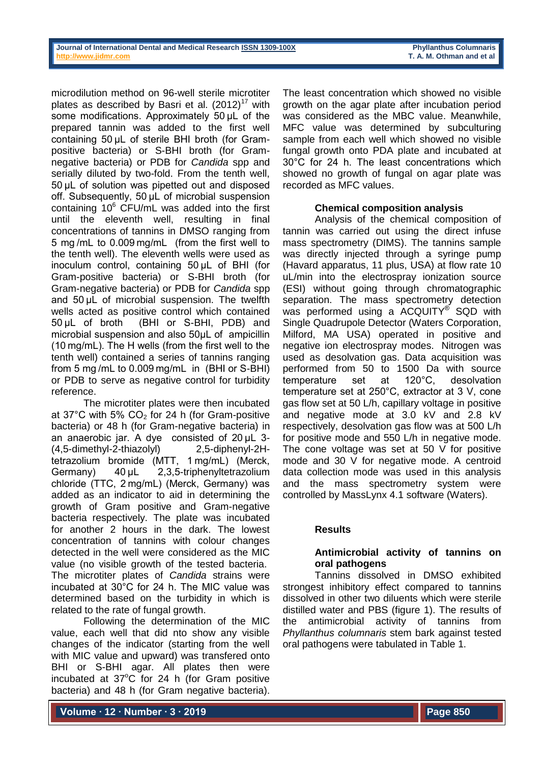microdilution method on 96-well sterile microtiter plates as described by Basri et al.  $(2012)^{17}$  with some modifications. Approximately 50 µL of the prepared tannin was added to the first well containing 50 μL of sterile BHI broth (for Grampositive bacteria) or S-BHI broth (for Gramnegative bacteria) or PDB for *Candida* spp and serially diluted by two-fold. From the tenth well, 50 μL of solution was pipetted out and disposed off. Subsequently, 50 μL of microbial suspension containing  $10^6$  CFU/mL was added into the first until the eleventh well, resulting in final concentrations of tannins in DMSO ranging from 5 mg /mL to 0.009 mg/mL (from the first well to the tenth well). The eleventh wells were used as inoculum control, containing 50 μL of BHI (for Gram-positive bacteria) or S-BHI broth (for Gram-negative bacteria) or PDB for *Candida* spp and 50 μL of microbial suspension. The twelfth wells acted as positive control which contained 50 μL of broth (BHI or S-BHI, PDB) and microbial suspension and also 50μL of ampicillin (10 mg/mL). The H wells (from the first well to the tenth well) contained a series of tannins ranging from 5 mg /mL to 0.009 mg/mL in (BHI or S-BHI) or PDB to serve as negative control for turbidity reference.

The microtiter plates were then incubated at 37 $^{\circ}$ C with 5% CO<sub>2</sub> for 24 h (for Gram-positive bacteria) or 48 h (for Gram-negative bacteria) in an anaerobic jar. A dye consisted of 20 μL 3- (4,5-dimethyl-2-thiazolyl) 2,5-diphenyl-2Htetrazolium bromide (MTT, 1 mg/mL) (Merck, Germany) 40 μL 2,3,5-triphenyltetrazolium chloride (TTC, 2 mg/mL) (Merck, Germany) was added as an indicator to aid in determining the growth of Gram positive and Gram-negative bacteria respectively. The plate was incubated for another 2 hours in the dark. The lowest concentration of tannins with colour changes detected in the well were considered as the MIC value (no visible growth of the tested bacteria. The microtiter plates of *Candida* strains were incubated at 30°C for 24 h. The MIC value was determined based on the turbidity in which is related to the rate of fungal growth.

Following the determination of the MIC value, each well that did nto show any visible changes of the indicator (starting from the well with MIC value and upward) was transfered onto BHI or S-BHI agar. All plates then were incubated at  $37^{\circ}$ C for 24 h (for Gram positive bacteria) and 48 h (for Gram negative bacteria).

The least concentration which showed no visible growth on the agar plate after incubation period was considered as the MBC value. Meanwhile, MFC value was determined by subculturing sample from each well which showed no visible fungal growth onto PDA plate and incubated at 30°C for 24 h. The least concentrations which showed no growth of fungal on agar plate was recorded as MFC values.

# **Chemical composition analysis**

Analysis of the chemical composition of tannin was carried out using the direct infuse mass spectrometry (DIMS). The tannins sample was directly injected through a syringe pump (Havard apparatus, 11 plus, USA) at flow rate 10 uL/min into the electrospray ionization source (ESI) without going through chromatographic separation. The mass spectrometry detection was performed using a ACQUITY® SQD with Single Quadrupole Detector (Waters Corporation, Milford, MA USA) operated in positive and negative ion electrospray modes. Nitrogen was used as desolvation gas. Data acquisition was performed from 50 to 1500 Da with source temperature set at 120°C, desolvation temperature set at 250°C, extractor at 3 V, cone gas flow set at 50 L/h, capillary voltage in positive and negative mode at 3.0 kV and 2.8 kV respectively, desolvation gas flow was at 500 L/h for positive mode and 550 L/h in negative mode. The cone voltage was set at 50 V for positive mode and 30 V for negative mode. A centroid data collection mode was used in this analysis and the mass spectrometry system were controlled by MassLynx 4.1 software (Waters).

# **Results**

# **Antimicrobial activity of tannins on oral pathogens**

Tannins dissolved in DMSO exhibited strongest inhibitory effect compared to tannins dissolved in other two diluents which were sterile distilled water and PBS (figure 1). The results of the antimicrobial activity of tannins from *Phyllanthus columnaris* stem bark against tested oral pathogens were tabulated in Table 1.

**Volume ∙ 12 ∙ Number ∙ 3 ∙ 2019**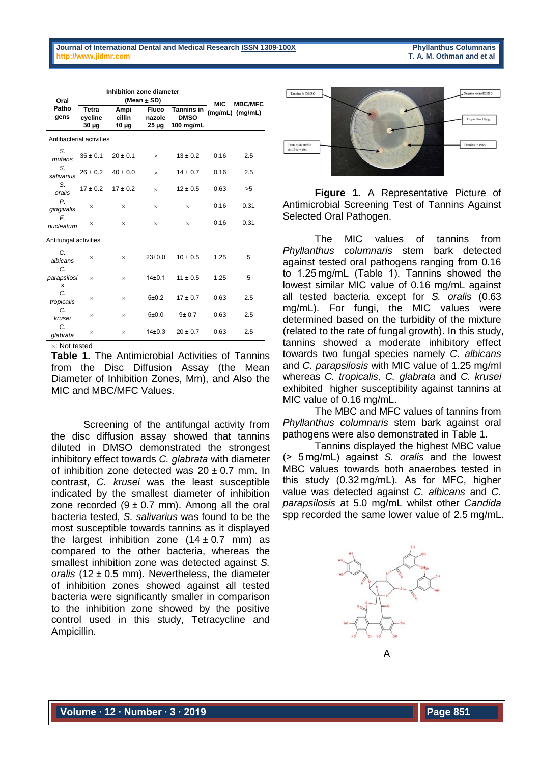| <b>Phyllanthus Columnaris</b> |  |  |                           |  |  |  |  |  |  |
|-------------------------------|--|--|---------------------------|--|--|--|--|--|--|
|                               |  |  | T. A. M. Othman and et al |  |  |  |  |  |  |

|                          | Inhibition zone diameter       |                              |                          |                                        |      |                 |  |  |  |
|--------------------------|--------------------------------|------------------------------|--------------------------|----------------------------------------|------|-----------------|--|--|--|
| Oral                     |                                | (Mean $\pm$ SD)              | <b>MIC</b>               | <b>MBC/MFC</b>                         |      |                 |  |  |  |
| Patho<br>gens            | Tetra<br>cycline<br>$30 \mu g$ | Ampi<br>cillin<br>$10 \mu g$ | Fluco<br>nazole<br>25 µg | Tannins in<br><b>DMSO</b><br>100 mg/mL |      | (mg/mL) (mg/mL) |  |  |  |
| Antibacterial activities |                                |                              |                          |                                        |      |                 |  |  |  |
| S.<br>mutans             | $35 \pm 0.1$                   | $20 \pm 0.1$                 | $\times$                 | $13 \pm 0.2$                           | 0.16 | 2.5             |  |  |  |
| S.<br>salivarius         | $26 \pm 0.2$                   | $40 \pm 0.0$                 | $\times$                 | $14 \pm 0.7$                           | 0.16 | 2.5             |  |  |  |
| S.<br>oralis             | $17 \pm 0.2$                   | $17 \pm 0.2$                 | $\times$                 | $12 \pm 0.5$                           | 0.63 | >5              |  |  |  |
| $P_{1}$<br>gingivalis    | $\times$                       | $\times$                     | $\times$                 | $\times$                               | 0.16 | 0.31            |  |  |  |
| F.<br>nucleatum          | $\times$                       | $\times$                     | $\times$                 | $\times$                               | 0.16 | 0.31            |  |  |  |
| Antifungal activities    |                                |                              |                          |                                        |      |                 |  |  |  |
| C.<br>albicans           | ×                              | $\times$                     | 23±0.0                   | $10 \pm 0.5$                           | 1.25 | 5               |  |  |  |
| C.<br>parapsilosi<br>S   | $\times$                       | $\times$                     | 14±0.1                   | $11 \pm 0.5$                           | 1.25 | 5               |  |  |  |
| C<br>tropicalis          | ×                              | $\times$                     | 5±0.2                    | $17 \pm 0.7$                           | 0.63 | 2.5             |  |  |  |
| C.<br>krusei             | $\times$                       | $\times$                     | 5±0.0                    | $9 + 0.7$                              | 0.63 | 2.5             |  |  |  |
| C.<br>glabrata           | $\times$                       | $\times$                     | 14±0.3                   | $20 \pm 0.7$                           | 0.63 | 2.5             |  |  |  |
| $\times$ Not tested      |                                |                              |                          |                                        |      |                 |  |  |  |

**Table 1.** The Antimicrobial Activities of Tannins from the Disc Diffusion Assay (the Mean Diameter of Inhibition Zones, Mm), and Also the MIC and MBC/MFC Values.

Screening of the antifungal activity from the disc diffusion assay showed that tannins diluted in DMSO demonstrated the strongest inhibitory effect towards *C. glabrata* with diameter of inhibition zone detected was  $20 \pm 0.7$  mm. In contrast, *C. krusei* was the least susceptible indicated by the smallest diameter of inhibition zone recorded  $(9 \pm 0.7 \text{ mm})$ . Among all the oral bacteria tested, *S. salivarius* was found to be the most susceptible towards tannins as it displayed the largest inhibition zone  $(14 \pm 0.7 \text{ mm})$  as compared to the other bacteria, whereas the smallest inhibition zone was detected against *S. oralis* (12 ± 0.5 mm). Nevertheless, the diameter of inhibition zones showed against all tested bacteria were significantly smaller in comparison to the inhibition zone showed by the positive control used in this study, Tetracycline and Ampicillin.



**Figure 1.** A Representative Picture of Antimicrobial Screening Test of Tannins Against Selected Oral Pathogen.

The MIC values of tannins from *Phyllanthus columnaris* stem bark detected against tested oral pathogens ranging from 0.16 to 1.25 mg/mL (Table 1). Tannins showed the lowest similar MIC value of 0.16 mg/mL against all tested bacteria except for *S. oralis* (0.63 mg/mL). For fungi, the MIC values were determined based on the turbidity of the mixture (related to the rate of fungal growth). In this study, tannins showed a moderate inhibitory effect towards two fungal species namely *C. albicans*  and *C. parapsilosis* with MIC value of 1.25 mg/ml whereas *C. tropicalis, C. glabrata* and *C. krusei* exhibited higher susceptibility against tannins at MIC value of 0.16 mg/mL.

The MBC and MFC values of tannins from *Phyllanthus columnaris* stem bark against oral pathogens were also demonstrated in Table 1.

Tannins displayed the highest MBC value (> 5 mg/mL) against *S. oralis* and the lowest MBC values towards both anaerobes tested in this study (0.32 mg/mL). As for MFC, higher value was detected against *C. albicans* and *C. parapsilosis* at 5.0 mg/mL whilst other *Candida* spp recorded the same lower value of 2.5 mg/mL.

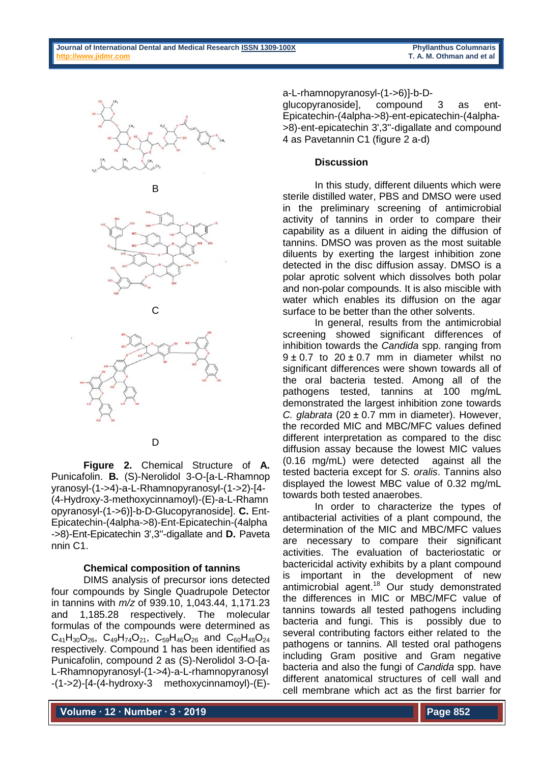









**Figure 2.** Chemical Structure of **A.** Punicafolin. **B.** (S)-Nerolidol 3-O-[a-L-Rhamnop yranosyl-(1->4)-a-L-Rhamnopyranosyl-(1->2)-[4- (4-Hydroxy-3-methoxycinnamoyl)-(E)-a-L-Rhamn opyranosyl-(1->6)]-b-D-Glucopyranoside]. **C.** Ent-Epicatechin-(4alpha->8)-Ent-Epicatechin-(4alpha ->8)-Ent-Epicatechin 3',3''-digallate and **D.** Paveta nnin C1.

# **Chemical composition of tannins**

DIMS analysis of precursor ions detected four compounds by Single Quadrupole Detector in tannins with *m/z* of 939.10, 1,043.44, 1,171.23 and 1,185.28 respectively. The molecular formulas of the compounds were determined as  $C_{41}H_{30}O_{26}$ ,  $C_{49}H_{74}O_{21}$ ,  $C_{59}H_{46}O_{26}$  and  $C_{60}H_{48}O_{24}$ respectively. Compound 1 has been identified as Punicafolin, compound 2 as (S)-Nerolidol 3-O-[a-L-Rhamnopyranosyl-(1->4)-a-L-rhamnopyranosyl -(1->2)-[4-(4-hydroxy-3 methoxycinnamoyl)-(E)-

a-L-rhamnopyranosyl-(1->6)]-b-D-

glucopyranoside], compound 3 as ent-Epicatechin-(4alpha->8)-ent-epicatechin-(4alpha- >8)-ent-epicatechin 3',3''-digallate and compound 4 as Pavetannin C1 (figure 2 a-d)

### **Discussion**

In this study, different diluents which were sterile distilled water, PBS and DMSO were used in the preliminary screening of antimicrobial activity of tannins in order to compare their capability as a diluent in aiding the diffusion of tannins. DMSO was proven as the most suitable diluents by exerting the largest inhibition zone detected in the disc diffusion assay. DMSO is a polar aprotic solvent which dissolves both polar and non-polar compounds. It is also miscible with water which enables its diffusion on the agar surface to be better than the other solvents.

In general, results from the antimicrobial screening showed significant differences of inhibition towards the *Candida* spp. ranging from  $9 \pm 0.7$  to  $20 \pm 0.7$  mm in diameter whilst no significant differences were shown towards all of the oral bacteria tested. Among all of the pathogens tested, tannins at 100 mg/mL demonstrated the largest inhibition zone towards *C. glabrata* (20 ± 0.7 mm in diameter). However, the recorded MIC and MBC/MFC values defined different interpretation as compared to the disc diffusion assay because the lowest MIC values (0.16 mg/mL) were detected against all the tested bacteria except for *S. oralis*. Tannins also displayed the lowest MBC value of 0.32 mg/mL towards both tested anaerobes.

In order to characterize the types of antibacterial activities of a plant compound, the determination of the MIC and MBC/MFC values are necessary to compare their significant activities. The evaluation of bacteriostatic or bactericidal activity exhibits by a plant compound is important in the development of new antimicrobial agent.<sup>18</sup> Our study demonstrated the differences in MIC or MBC/MFC value of tannins towards all tested pathogens including bacteria and fungi. This is possibly due to several contributing factors either related to the pathogens or tannins. All tested oral pathogens including Gram positive and Gram negative bacteria and also the fungi of *Candida* spp. have different anatomical structures of cell wall and cell membrane which act as the first barrier for